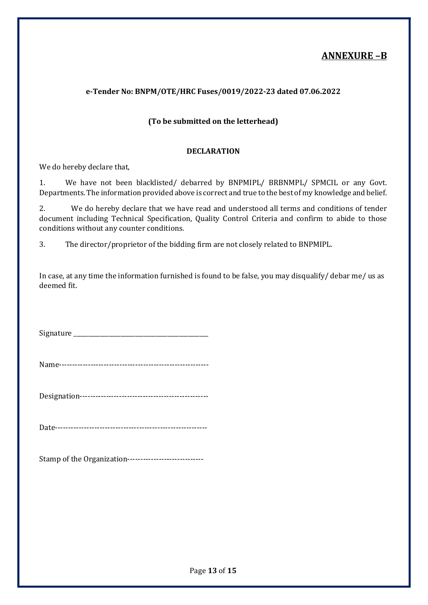## ANNEXURE –B

#### e-Tender No: BNPM/OTE/HRC Fuses/0019/2022-23 dated 07.06.2022

#### (To be submitted on the letterhead)

#### DECLARATION

We do hereby declare that,

1. We have not been blacklisted/ debarred by BNPMIPL/ BRBNMPL/ SPMCIL or any Govt. Departments. The information provided above is correct and true to the best of my knowledge and belief.

2. We do hereby declare that we have read and understood all terms and conditions of tender document including Technical Specification, Quality Control Criteria and confirm to abide to those conditions without any counter conditions.

3. The director/proprietor of the bidding firm are not closely related to BNPMIPL.

In case, at any time the information furnished is found to be false, you may disqualify/ debar me/ us as deemed fit.

Signature \_\_\_\_\_\_\_\_\_\_\_\_\_\_\_\_\_\_\_\_\_\_\_\_\_\_\_\_\_\_\_\_\_\_\_\_\_\_\_\_\_\_\_\_\_\_

Name---------------------------------------------------------

Designation-------------------------------------------------

Date----------------------------------------------------------

Stamp of the Organization-----------------------------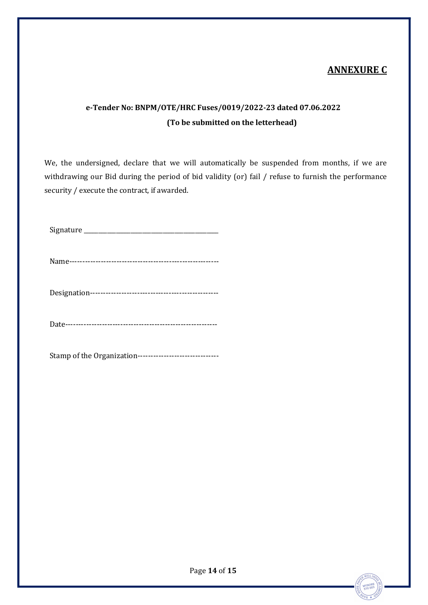## ANNEXURE C

# e-Tender No: BNPM/OTE/HRC Fuses/0019/2022-23 dated 07.06.2022 (To be submitted on the letterhead)

We, the undersigned, declare that we will automatically be suspended from months, if we are withdrawing our Bid during the period of bid validity (or) fail / refuse to furnish the performance security / execute the contract, if awarded.

Signature \_\_\_\_\_\_\_\_\_\_\_\_\_\_\_\_\_\_\_\_\_\_\_\_\_\_\_\_\_\_\_\_\_\_\_\_\_\_\_\_\_\_\_\_\_\_

Name---------------------------------------------------------

Designation-------------------------------------------------

Date----------------------------------------------------------

Stamp of the Organization-------------------------------